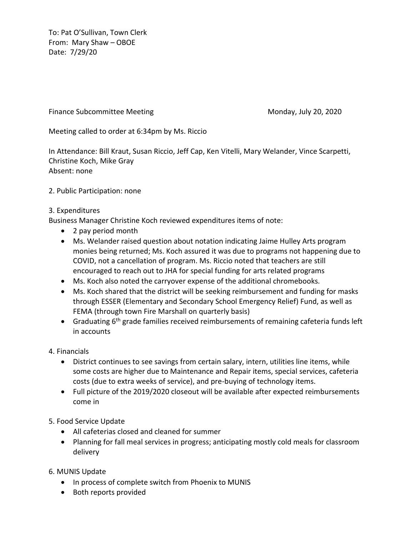To: Pat O'Sullivan, Town Clerk From: Mary Shaw – OBOE Date: 7/29/20

Finance Subcommittee Meeting Monday, July 20, 2020

Meeting called to order at 6:34pm by Ms. Riccio

In Attendance: Bill Kraut, Susan Riccio, Jeff Cap, Ken Vitelli, Mary Welander, Vince Scarpetti, Christine Koch, Mike Gray Absent: none

2. Public Participation: none

## 3. Expenditures

Business Manager Christine Koch reviewed expenditures items of note:

- 2 pay period month
- Ms. Welander raised question about notation indicating Jaime Hulley Arts program monies being returned; Ms. Koch assured it was due to programs not happening due to COVID, not a cancellation of program. Ms. Riccio noted that teachers are still encouraged to reach out to JHA for special funding for arts related programs
- Ms. Koch also noted the carryover expense of the additional chromebooks.
- Ms. Koch shared that the district will be seeking reimbursement and funding for masks through ESSER (Elementary and Secondary School Emergency Relief) Fund, as well as FEMA (through town Fire Marshall on quarterly basis)
- Graduating  $6<sup>th</sup>$  grade families received reimbursements of remaining cafeteria funds left in accounts
- 4. Financials
	- District continues to see savings from certain salary, intern, utilities line items, while some costs are higher due to Maintenance and Repair items, special services, cafeteria costs (due to extra weeks of service), and pre-buying of technology items.
	- Full picture of the 2019/2020 closeout will be available after expected reimbursements come in
- 5. Food Service Update
	- All cafeterias closed and cleaned for summer
	- Planning for fall meal services in progress; anticipating mostly cold meals for classroom delivery
- 6. MUNIS Update
	- In process of complete switch from Phoenix to MUNIS
	- Both reports provided